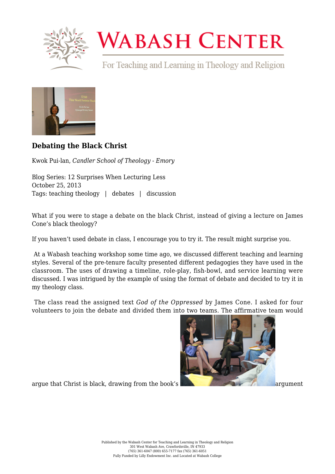

## **WABASH CENTER**

For Teaching and Learning in Theology and Religion



## **[Debating the Black Christ](https://www.wabashcenter.wabash.edu/2013/10/debating-the-black-christ/)**

Kwok Pui-lan, *Candler School of Theology - Emory*

Blog Series: 12 Surprises When Lecturing Less October 25, 2013 Tags: teaching theology | debates | discussion

What if you were to stage a debate on the black Christ, instead of giving a lecture on James Cone's black theology?

If you haven't used debate in class, I encourage you to try it. The result might surprise you.

 At a Wabash teaching workshop some time ago, we discussed different teaching and learning styles. Several of the pre-tenure faculty presented different pedagogies they have used in the classroom. The uses of drawing a timeline, role-play, fish-bowl, and service learning were discussed. I was intrigued by the example of using the format of debate and decided to try it in my theology class.

 The class read the assigned text *God of the Oppressed* by James Cone. I asked for four volunteers to join the debate and divided them into two teams. The affirmative team would



argue that Christ is black, drawing from the book's and the state of argument